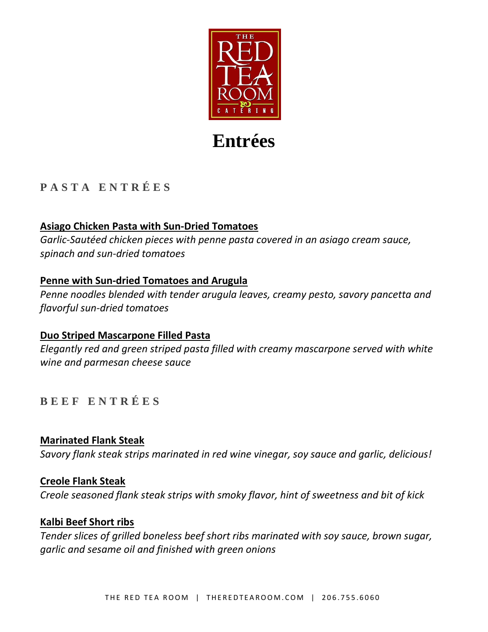

# **Entrées**

# **P A S T A E N T R É E S**

## **Asiago Chicken Pasta with Sun-Dried Tomatoes**

*Garlic-Sautéed chicken pieces with penne pasta covered in an asiago cream sauce, spinach and sun-dried tomatoes*

## **Penne with Sun-dried Tomatoes and Arugula**

*Penne noodles blended with tender arugula leaves, creamy pesto, savory pancetta and flavorful sun-dried tomatoes*

## **Duo Striped Mascarpone Filled Pasta**

*Elegantly red and green striped pasta filled with creamy mascarpone served with white wine and parmesan cheese sauce*

## **B E E F E N T R É E S**

**Marinated Flank Steak** *Savory flank steak strips marinated in red wine vinegar, soy sauce and garlic, delicious!*

## **Creole Flank Steak**

*Creole seasoned flank steak strips with smoky flavor, hint of sweetness and bit of kick*

## **Kalbi Beef Short ribs**

*Tender slices of grilled boneless beef short ribs marinated with soy sauce, brown sugar, garlic and sesame oil and finished with green onions*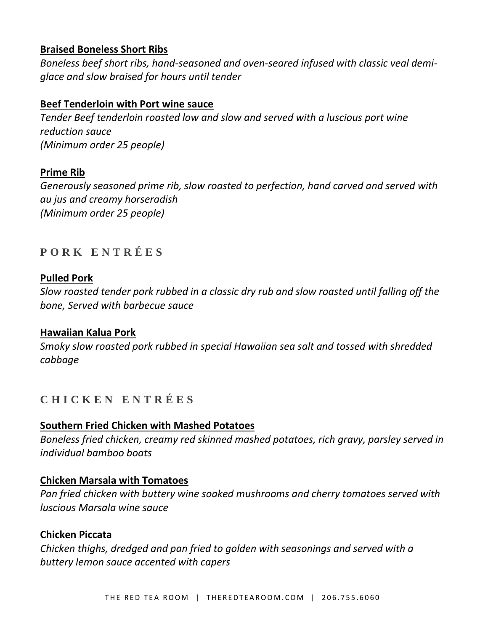## **Braised Boneless Short Ribs**

*Boneless beef short ribs, hand-seasoned and oven-seared infused with classic veal demiglace and slow braised for hours until tender*

## **Beef Tenderloin with Port wine sauce**

*Tender Beef tenderloin roasted low and slow and served with a luscious port wine reduction sauce (Minimum order 25 people)*

## **Prime Rib**

*Generously seasoned prime rib, slow roasted to perfection, hand carved and served with au jus and creamy horseradish (Minimum order 25 people)*

# **P O R K E N T R É E S**

## **Pulled Pork**

*Slow roasted tender pork rubbed in a classic dry rub and slow roasted until falling off the bone, Served with barbecue sauce*

## **Hawaiian Kalua Pork**

*Smoky slow roasted pork rubbed in special Hawaiian sea salt and tossed with shredded cabbage*

## **C H I C K E N E N T R É E S**

## **Southern Fried Chicken with Mashed Potatoes**

*Boneless fried chicken, creamy red skinned mashed potatoes, rich gravy, parsley served in individual bamboo boats*

## **Chicken Marsala with Tomatoes**

*Pan fried chicken with buttery wine soaked mushrooms and cherry tomatoes served with luscious Marsala wine sauce*

## **Chicken Piccata**

*Chicken thighs, dredged and pan fried to golden with seasonings and served with a buttery lemon sauce accented with capers*